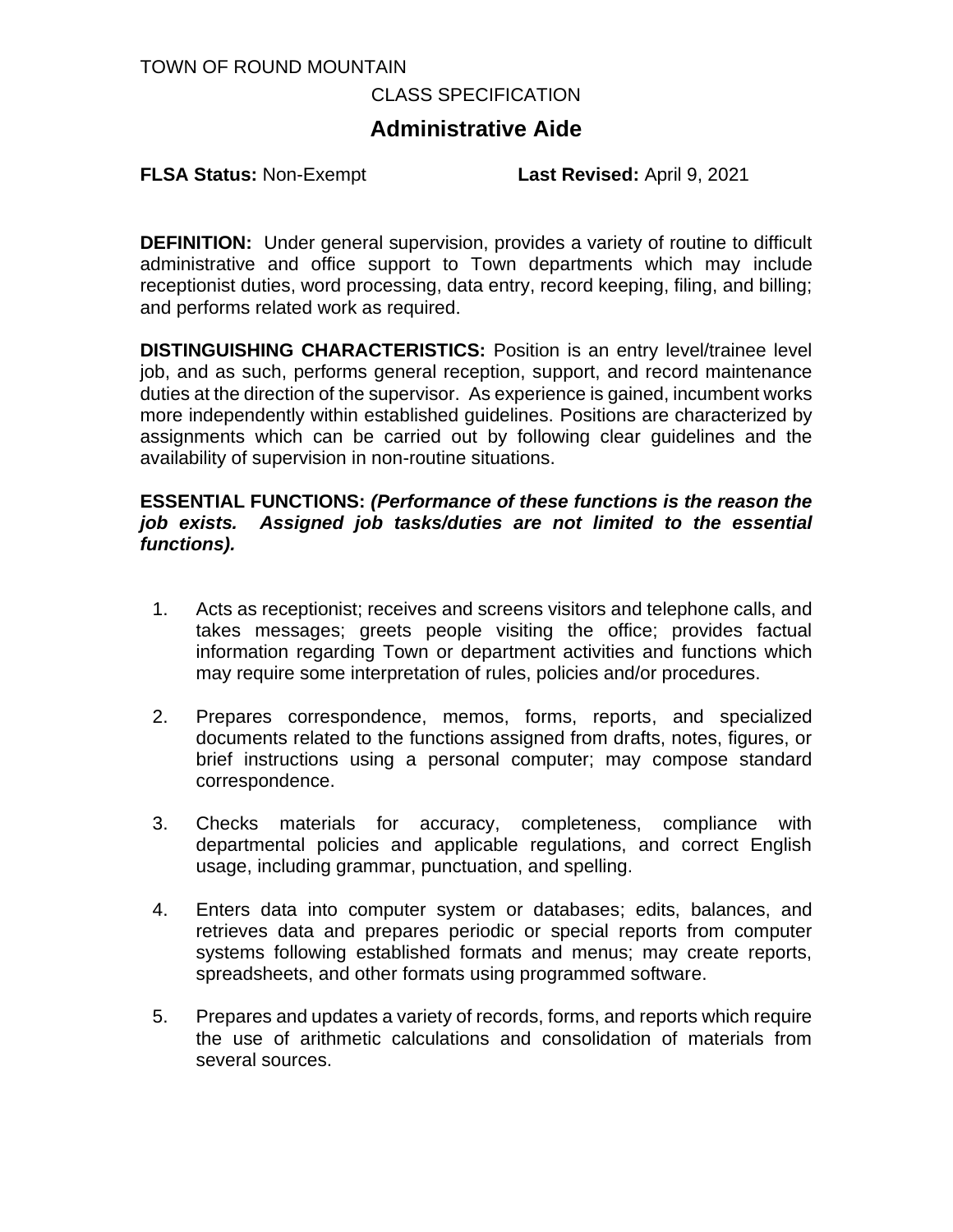#### TOWN OF ROUND MOUNTAIN

#### CLASS SPECIFICATION

# **Administrative Aide**

**FLSA Status:** Non-Exempt **Last Revised:** April 9, 2021

**DEFINITION:** Under general supervision, provides a variety of routine to difficult administrative and office support to Town departments which may include receptionist duties, word processing, data entry, record keeping, filing, and billing; and performs related work as required.

**DISTINGUISHING CHARACTERISTICS:** Position is an entry level/trainee level job, and as such, performs general reception, support, and record maintenance duties at the direction of the supervisor. As experience is gained, incumbent works more independently within established guidelines. Positions are characterized by assignments which can be carried out by following clear guidelines and the availability of supervision in non-routine situations.

#### **ESSENTIAL FUNCTIONS:** *(Performance of these functions is the reason the job exists. Assigned job tasks/duties are not limited to the essential functions).*

- 1. Acts as receptionist; receives and screens visitors and telephone calls, and takes messages; greets people visiting the office; provides factual information regarding Town or department activities and functions which may require some interpretation of rules, policies and/or procedures.
- 2. Prepares correspondence, memos, forms, reports, and specialized documents related to the functions assigned from drafts, notes, figures, or brief instructions using a personal computer; may compose standard correspondence.
- 3. Checks materials for accuracy, completeness, compliance with departmental policies and applicable regulations, and correct English usage, including grammar, punctuation, and spelling.
- 4. Enters data into computer system or databases; edits, balances, and retrieves data and prepares periodic or special reports from computer systems following established formats and menus; may create reports, spreadsheets, and other formats using programmed software.
- 5. Prepares and updates a variety of records, forms, and reports which require the use of arithmetic calculations and consolidation of materials from several sources.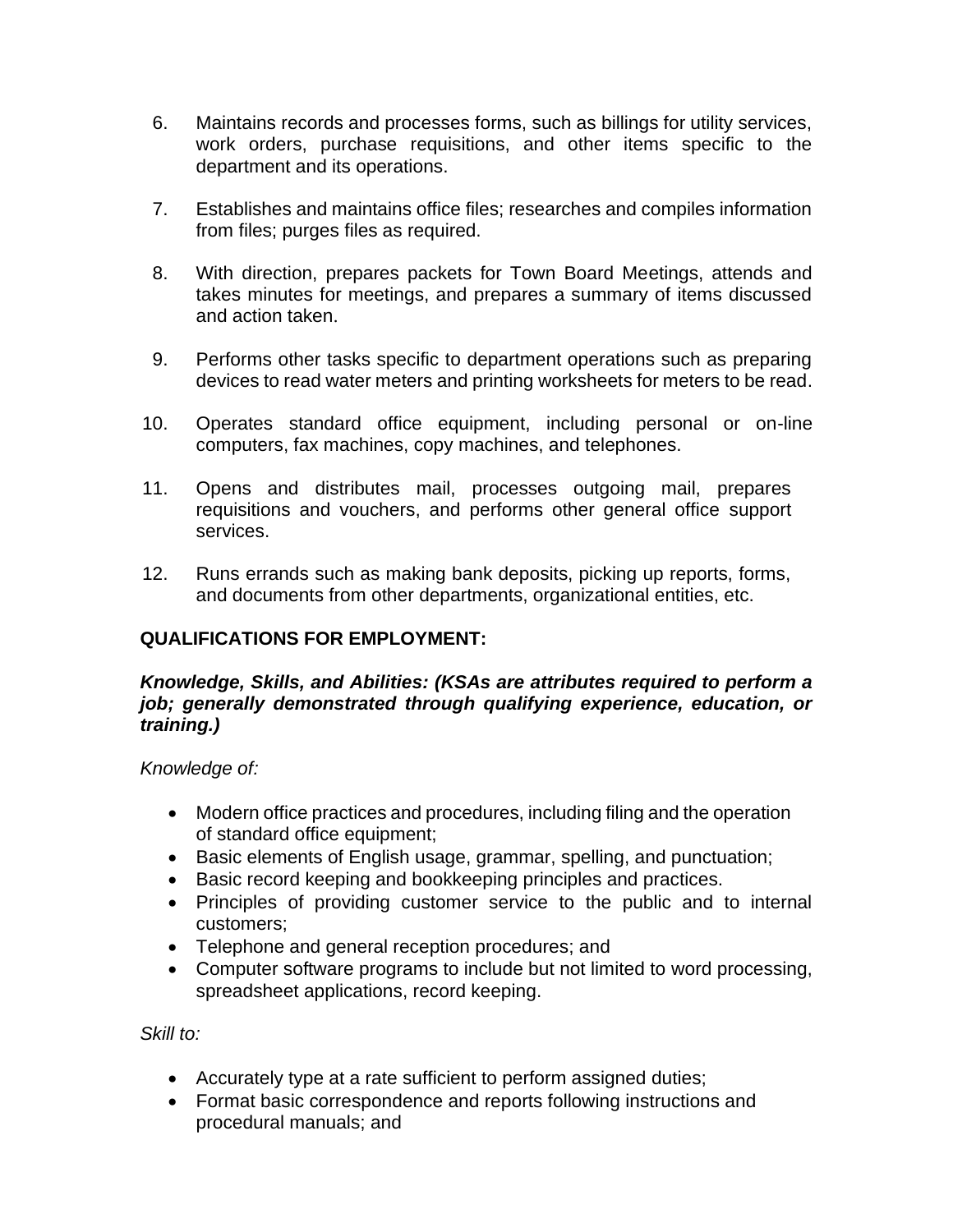- 6. Maintains records and processes forms, such as billings for utility services, work orders, purchase requisitions, and other items specific to the department and its operations.
- 7. Establishes and maintains office files; researches and compiles information from files; purges files as required.
- 8. With direction, prepares packets for Town Board Meetings, attends and takes minutes for meetings, and prepares a summary of items discussed and action taken.
- 9. Performs other tasks specific to department operations such as preparing devices to read water meters and printing worksheets for meters to be read.
- 10. Operates standard office equipment, including personal or on-line computers, fax machines, copy machines, and telephones.
- 11. Opens and distributes mail, processes outgoing mail, prepares requisitions and vouchers, and performs other general office support services.
- 12. Runs errands such as making bank deposits, picking up reports, forms, and documents from other departments, organizational entities, etc.

# **QUALIFICATIONS FOR EMPLOYMENT:**

### *Knowledge, Skills, and Abilities: (KSAs are attributes required to perform a job; generally demonstrated through qualifying experience, education, or training.)*

*Knowledge of:*

- Modern office practices and procedures, including filing and the operation of standard office equipment;
- Basic elements of English usage, grammar, spelling, and punctuation;
- Basic record keeping and bookkeeping principles and practices.
- Principles of providing customer service to the public and to internal customers;
- Telephone and general reception procedures; and
- Computer software programs to include but not limited to word processing, spreadsheet applications, record keeping.

*Skill to:* 

- Accurately type at a rate sufficient to perform assigned duties;
- Format basic correspondence and reports following instructions and procedural manuals; and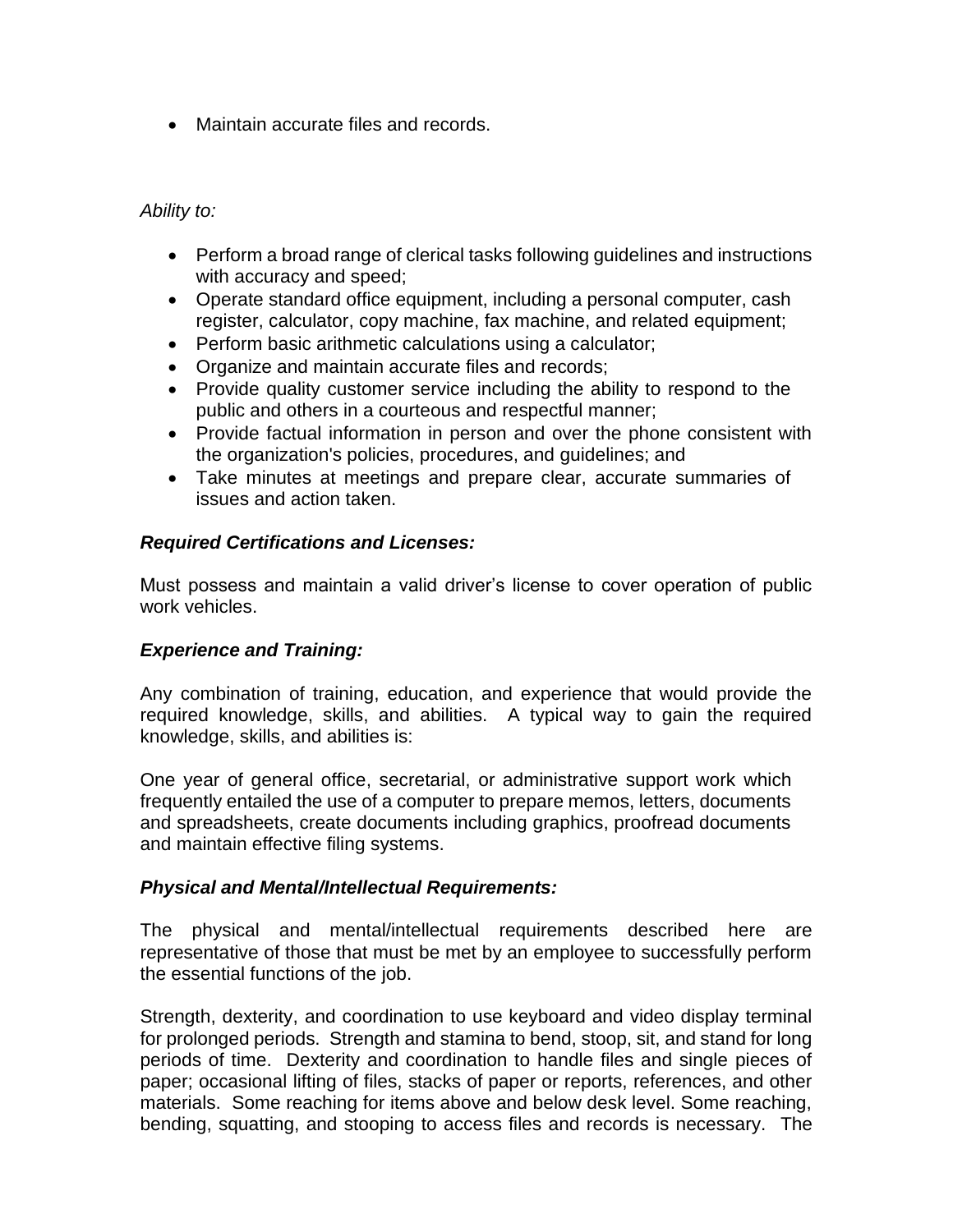• Maintain accurate files and records.

*Ability to:*

- Perform a broad range of clerical tasks following guidelines and instructions with accuracy and speed;
- Operate standard office equipment, including a personal computer, cash register, calculator, copy machine, fax machine, and related equipment;
- Perform basic arithmetic calculations using a calculator;
- Organize and maintain accurate files and records;
- Provide quality customer service including the ability to respond to the public and others in a courteous and respectful manner;
- Provide factual information in person and over the phone consistent with the organization's policies, procedures, and guidelines; and
- Take minutes at meetings and prepare clear, accurate summaries of issues and action taken.

# *Required Certifications and Licenses:*

Must possess and maintain a valid driver's license to cover operation of public work vehicles.

### *Experience and Training:*

Any combination of training, education, and experience that would provide the required knowledge, skills, and abilities. A typical way to gain the required knowledge, skills, and abilities is:

One year of general office, secretarial, or administrative support work which frequently entailed the use of a computer to prepare memos, letters, documents and spreadsheets, create documents including graphics, proofread documents and maintain effective filing systems.

## *Physical and Mental/Intellectual Requirements:*

The physical and mental/intellectual requirements described here are representative of those that must be met by an employee to successfully perform the essential functions of the job.

Strength, dexterity, and coordination to use keyboard and video display terminal for prolonged periods. Strength and stamina to bend, stoop, sit, and stand for long periods of time. Dexterity and coordination to handle files and single pieces of paper; occasional lifting of files, stacks of paper or reports, references, and other materials. Some reaching for items above and below desk level. Some reaching, bending, squatting, and stooping to access files and records is necessary. The